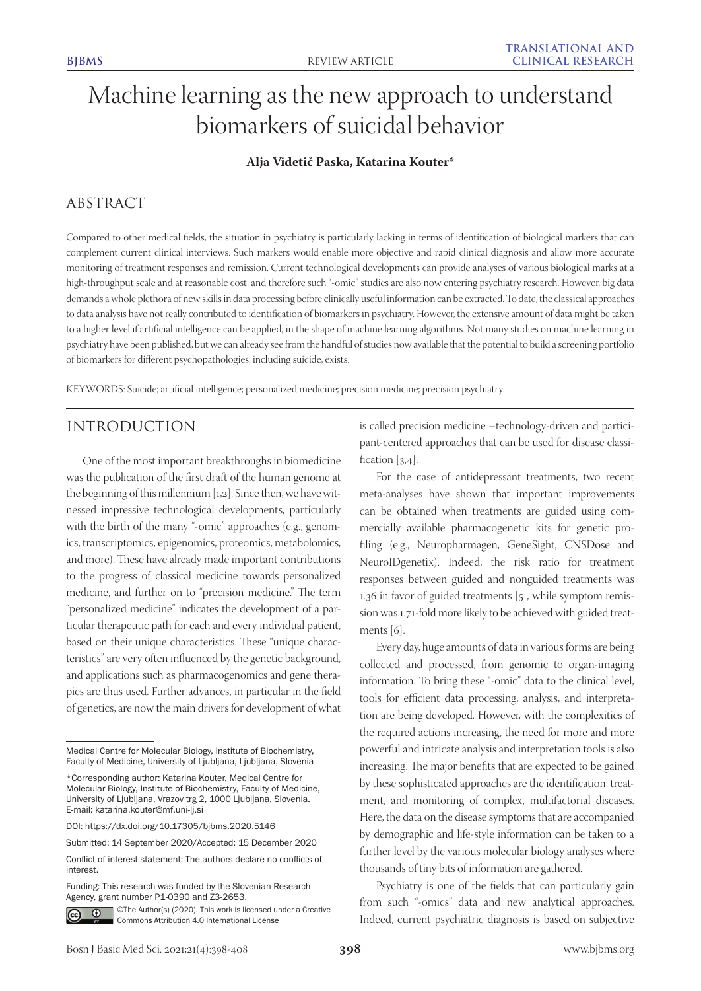# Machine learning as the new approach to understand biomarkers of suicidal behavior

## **Alja Videtič Paska, Katarina Kouter\***

# ABSTRACT

Compared to other medical fields, the situation in psychiatry is particularly lacking in terms of identification of biological markers that can complement current clinical interviews. Such markers would enable more objective and rapid clinical diagnosis and allow more accurate monitoring of treatment responses and remission. Current technological developments can provide analyses of various biological marks at a high-throughput scale and at reasonable cost, and therefore such "-omic" studies are also now entering psychiatry research. However, big data demands a whole plethora of new skills in data processing before clinically useful information can be extracted. To date, the classical approaches to data analysis have not really contributed to identification of biomarkers in psychiatry. However, the extensive amount of data might be taken to a higher level if artificial intelligence can be applied, in the shape of machine learning algorithms. Not many studies on machine learning in psychiatry have been published, but we can already see from the handful of studies now available that the potential to build a screening portfolio of biomarkers for different psychopathologies, including suicide, exists.

KEYWORDS: Suicide; artificial intelligence; personalized medicine; precision medicine; precision psychiatry

# INTRODUCTION

One of the most important breakthroughs in biomedicine was the publication of the first draft of the human genome at the beginning of this millennium [1,2]. Since then, we have witnessed impressive technological developments, particularly with the birth of the many "-omic" approaches (e.g., genomics, transcriptomics, epigenomics, proteomics, metabolomics, and more). These have already made important contributions to the progress of classical medicine towards personalized medicine, and further on to "precision medicine." The term "personalized medicine" indicates the development of a particular therapeutic path for each and every individual patient, based on their unique characteristics. These "unique characteristics" are very often influenced by the genetic background, and applications such as pharmacogenomics and gene therapies are thus used. Further advances, in particular in the field of genetics, are now the main drivers for development of what

Funding: This research was funded by the Slovenian Research Agency, grant number P1-0390 and Z3-2653.



©The Author(s) (2020). This work is licensed under a Creative Commons Attribution 4.0 International License

is called precision medicine –technology-driven and participant-centered approaches that can be used for disease classification [3,4].

For the case of antidepressant treatments, two recent meta-analyses have shown that important improvements can be obtained when treatments are guided using commercially available pharmacogenetic kits for genetic profiling (e.g., Neuropharmagen, GeneSight, CNSDose and NeuroIDgenetix). Indeed, the risk ratio for treatment responses between guided and nonguided treatments was 1.36 in favor of guided treatments [5], while symptom remission was 1.71-fold more likely to be achieved with guided treatments [6].

Every day, huge amounts of data in various forms are being collected and processed, from genomic to organ-imaging information. To bring these "-omic" data to the clinical level, tools for efficient data processing, analysis, and interpretation are being developed. However, with the complexities of the required actions increasing, the need for more and more powerful and intricate analysis and interpretation tools is also increasing. The major benefits that are expected to be gained by these sophisticated approaches are the identification, treatment, and monitoring of complex, multifactorial diseases. Here, the data on the disease symptoms that are accompanied by demographic and life-style information can be taken to a further level by the various molecular biology analyses where thousands of tiny bits of information are gathered.

Psychiatry is one of the fields that can particularly gain from such "-omics" data and new analytical approaches. Indeed, current psychiatric diagnosis is based on subjective

Medical Centre for Molecular Biology, Institute of Biochemistry, Faculty of Medicine, University of Ljubljana, Ljubljana, Slovenia

<sup>\*</sup>Corresponding author: Katarina Kouter, Medical Centre for Molecular Biology, Institute of Biochemistry, Faculty of Medicine, University of Ljubljana, Vrazov trg 2, 1000 Ljubljana, Slovenia. E-mail: katarina.kouter@mf.uni-lj.si

DOI: https://dx.doi.org/10.17305/bjbms.2020.5146

Submitted: 14 September 2020/Accepted: 15 December 2020

Conflict of interest statement: The authors declare no conflicts of interest.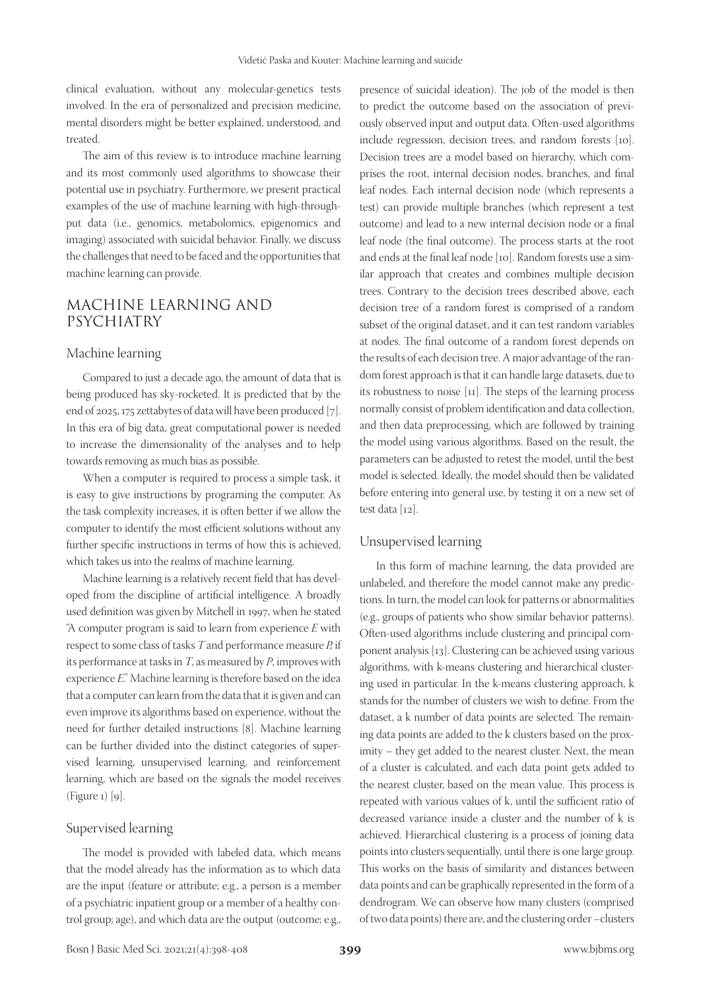clinical evaluation, without any molecular-genetics tests involved. In the era of personalized and precision medicine, mental disorders might be better explained, understood, and treated.

The aim of this review is to introduce machine learning and its most commonly used algorithms to showcase their potential use in psychiatry. Furthermore, we present practical examples of the use of machine learning with high-throughput data (i.e., genomics, metabolomics, epigenomics and imaging) associated with suicidal behavior. Finally, we discuss the challenges that need to be faced and the opportunities that machine learning can provide.

# MACHINE LEARNING AND PSYCHIATRY

#### Machine learning

Compared to just a decade ago, the amount of data that is being produced has sky-rocketed. It is predicted that by the end of 2025, 175 zettabytes of data will have been produced [7]. In this era of big data, great computational power is needed to increase the dimensionality of the analyses and to help towards removing as much bias as possible.

When a computer is required to process a simple task, it is easy to give instructions by programing the computer. As the task complexity increases, it is often better if we allow the computer to identify the most efficient solutions without any further specific instructions in terms of how this is achieved, which takes us into the realms of machine learning.

Machine learning is a relatively recent field that has developed from the discipline of artificial intelligence. A broadly used definition was given by Mitchell in 1997, when he stated "A computer program is said to learn from experience *E* with respect to some class of tasks *T* and performance measure *P,* if its performance at tasks in *T*, as measured by *P*, improves with experience *E*." Machine learning is therefore based on the idea that a computer can learn from the data that it is given and can even improve its algorithms based on experience, without the need for further detailed instructions [8]. Machine learning can be further divided into the distinct categories of supervised learning, unsupervised learning, and reinforcement learning, which are based on the signals the model receives (Figure 1) [9].

#### Supervised learning

The model is provided with labeled data, which means that the model already has the information as to which data are the input (feature or attribute; e.g., a person is a member of a psychiatric inpatient group or a member of a healthy control group; age), and which data are the output (outcome; e.g.,

presence of suicidal ideation). The job of the model is then to predict the outcome based on the association of previously observed input and output data. Often-used algorithms include regression, decision trees, and random forests [10]. Decision trees are a model based on hierarchy, which comprises the root, internal decision nodes, branches, and final leaf nodes. Each internal decision node (which represents a test) can provide multiple branches (which represent a test outcome) and lead to a new internal decision node or a final leaf node (the final outcome). The process starts at the root and ends at the final leaf node [10]. Random forests use a similar approach that creates and combines multiple decision trees. Contrary to the decision trees described above, each decision tree of a random forest is comprised of a random subset of the original dataset, and it can test random variables at nodes. The final outcome of a random forest depends on the results of each decision tree. A major advantage of the random forest approach is that it can handle large datasets, due to its robustness to noise [11]. The steps of the learning process normally consist of problem identification and data collection, and then data preprocessing, which are followed by training the model using various algorithms. Based on the result, the parameters can be adjusted to retest the model, until the best model is selected. Ideally, the model should then be validated before entering into general use, by testing it on a new set of test data [12].

#### Unsupervised learning

In this form of machine learning, the data provided are unlabeled, and therefore the model cannot make any predictions. In turn, the model can look for patterns or abnormalities (e.g., groups of patients who show similar behavior patterns). Often-used algorithms include clustering and principal component analysis [13]. Clustering can be achieved using various algorithms, with k-means clustering and hierarchical clustering used in particular. In the k-means clustering approach, k stands for the number of clusters we wish to define. From the dataset, a k number of data points are selected. The remaining data points are added to the k clusters based on the proximity – they get added to the nearest cluster. Next, the mean of a cluster is calculated, and each data point gets added to the nearest cluster, based on the mean value. This process is repeated with various values of k, until the sufficient ratio of decreased variance inside a cluster and the number of k is achieved. Hierarchical clustering is a process of joining data points into clusters sequentially, until there is one large group. This works on the basis of similarity and distances between data points and can be graphically represented in the form of a dendrogram. We can observe how many clusters (comprised of two data points) there are, and the clustering order –clusters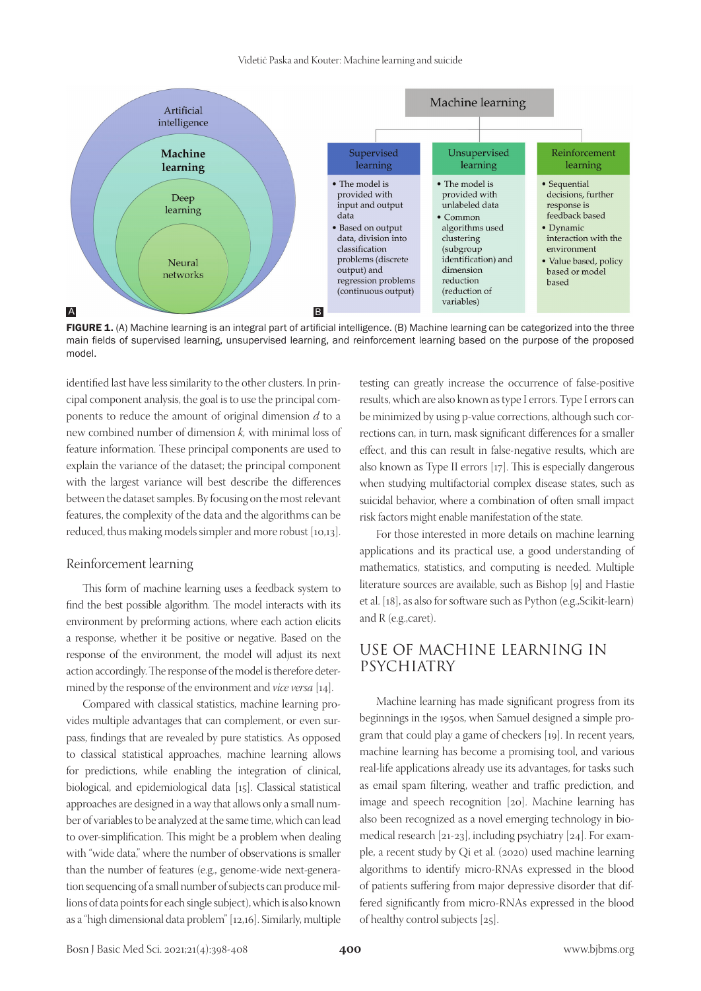Videtič Paska and Kouter: Machine learning and suicide



FIGURE 1. (A) Machine learning is an integral part of artificial intelligence. (B) Machine learning can be categorized into the three main fields of supervised learning, unsupervised learning, and reinforcement learning based on the purpose of the proposed model.

identified last have less similarity to the other clusters. In principal component analysis, the goal is to use the principal components to reduce the amount of original dimension *d* to a new combined number of dimension *k,* with minimal loss of feature information. These principal components are used to explain the variance of the dataset; the principal component with the largest variance will best describe the differences between the dataset samples. By focusing on the most relevant features, the complexity of the data and the algorithms can be reduced, thus making models simpler and more robust [10,13].

### Reinforcement learning

This form of machine learning uses a feedback system to find the best possible algorithm. The model interacts with its environment by preforming actions, where each action elicits a response, whether it be positive or negative. Based on the response of the environment, the model will adjust its next action accordingly. The response of the model is therefore determined by the response of the environment and *vice versa* [14].

Compared with classical statistics, machine learning provides multiple advantages that can complement, or even surpass, findings that are revealed by pure statistics. As opposed to classical statistical approaches, machine learning allows for predictions, while enabling the integration of clinical, biological, and epidemiological data [15]. Classical statistical approaches are designed in a way that allows only a small number of variables to be analyzed at the same time, which can lead to over-simplification. This might be a problem when dealing with "wide data," where the number of observations is smaller than the number of features (e.g., genome-wide next-generation sequencing of a small number of subjects can produce millions of data points for each single subject), which is also known as a "high dimensional data problem" [12,16]. Similarly, multiple

testing can greatly increase the occurrence of false-positive results, which are also known as type I errors. Type I errors can be minimized by using p-value corrections, although such corrections can, in turn, mask significant differences for a smaller effect, and this can result in false-negative results, which are also known as Type II errors [17]. This is especially dangerous when studying multifactorial complex disease states, such as suicidal behavior, where a combination of often small impact risk factors might enable manifestation of the state.

For those interested in more details on machine learning applications and its practical use, a good understanding of mathematics, statistics, and computing is needed. Multiple literature sources are available, such as Bishop [9] and Hastie et al. [18], as also for software such as Python (e.g.,Scikit-learn) and R (e.g.,caret).

## USE OF MACHINE LEARNING IN PSYCHIATRY

Machine learning has made significant progress from its beginnings in the 1950s, when Samuel designed a simple program that could play a game of checkers [19]. In recent years, machine learning has become a promising tool, and various real-life applications already use its advantages, for tasks such as email spam filtering, weather and traffic prediction, and image and speech recognition [20]. Machine learning has also been recognized as a novel emerging technology in biomedical research [21-23], including psychiatry [24]. For example, a recent study by Qi et al. (2020) used machine learning algorithms to identify micro-RNAs expressed in the blood of patients suffering from major depressive disorder that differed significantly from micro-RNAs expressed in the blood of healthy control subjects [25].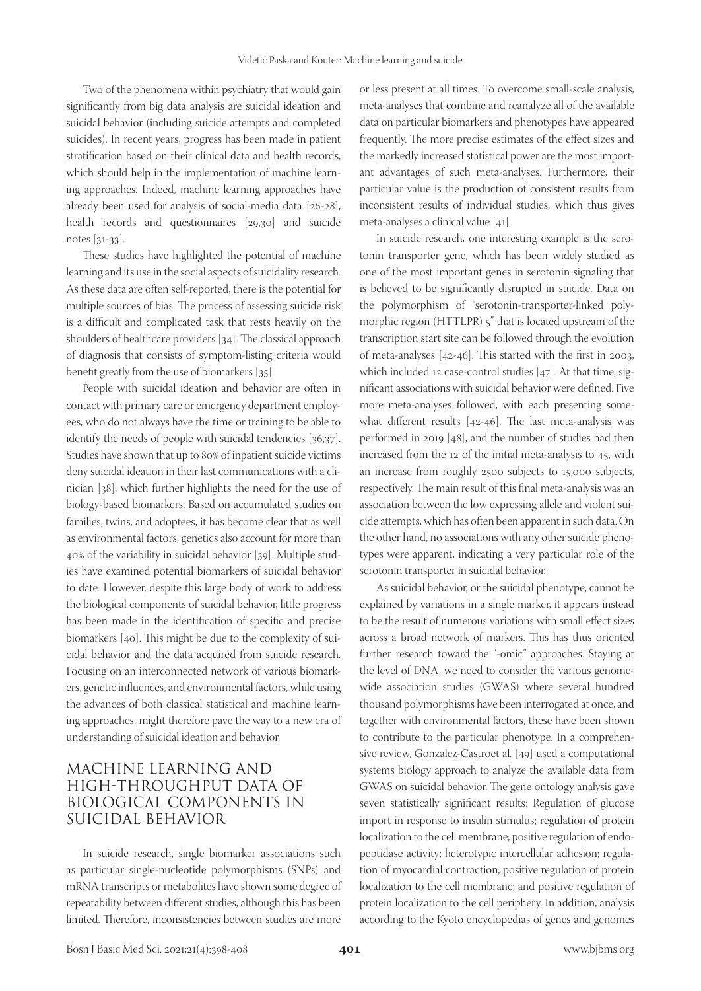Two of the phenomena within psychiatry that would gain significantly from big data analysis are suicidal ideation and suicidal behavior (including suicide attempts and completed suicides). In recent years, progress has been made in patient stratification based on their clinical data and health records, which should help in the implementation of machine learning approaches. Indeed, machine learning approaches have already been used for analysis of social-media data [26-28], health records and questionnaires [29,30] and suicide notes [31-33].

These studies have highlighted the potential of machine learning and its use in the social aspects of suicidality research. As these data are often self-reported, there is the potential for multiple sources of bias. The process of assessing suicide risk is a difficult and complicated task that rests heavily on the shoulders of healthcare providers [34]. The classical approach of diagnosis that consists of symptom-listing criteria would benefit greatly from the use of biomarkers [35].

People with suicidal ideation and behavior are often in contact with primary care or emergency department employees, who do not always have the time or training to be able to identify the needs of people with suicidal tendencies [36,37]. Studies have shown that up to 80% of inpatient suicide victims deny suicidal ideation in their last communications with a clinician [38], which further highlights the need for the use of biology-based biomarkers. Based on accumulated studies on families, twins, and adoptees, it has become clear that as well as environmental factors, genetics also account for more than 40% of the variability in suicidal behavior [39]. Multiple studies have examined potential biomarkers of suicidal behavior to date. However, despite this large body of work to address the biological components of suicidal behavior, little progress has been made in the identification of specific and precise biomarkers [40]. This might be due to the complexity of suicidal behavior and the data acquired from suicide research. Focusing on an interconnected network of various biomarkers, genetic influences, and environmental factors, while using the advances of both classical statistical and machine learning approaches, might therefore pave the way to a new era of understanding of suicidal ideation and behavior.

# MACHINE LEARNING AND HIGH-THROUGHPUT DATA OF BIOLOGICAL COMPONENTS IN SUICIDAL BEHAVIOR

In suicide research, single biomarker associations such as particular single-nucleotide polymorphisms (SNPs) and mRNA transcripts or metabolites have shown some degree of repeatability between different studies, although this has been limited. Therefore, inconsistencies between studies are more

or less present at all times. To overcome small-scale analysis, meta-analyses that combine and reanalyze all of the available data on particular biomarkers and phenotypes have appeared frequently. The more precise estimates of the effect sizes and the markedly increased statistical power are the most important advantages of such meta-analyses. Furthermore, their particular value is the production of consistent results from inconsistent results of individual studies, which thus gives meta-analyses a clinical value [41].

In suicide research, one interesting example is the serotonin transporter gene, which has been widely studied as one of the most important genes in serotonin signaling that is believed to be significantly disrupted in suicide. Data on the polymorphism of "serotonin-transporter-linked polymorphic region (HTTLPR) 5" that is located upstream of the transcription start site can be followed through the evolution of meta-analyses [42-46]. This started with the first in 2003, which included 12 case-control studies [47]. At that time, significant associations with suicidal behavior were defined. Five more meta-analyses followed, with each presenting somewhat different results [42-46]. The last meta-analysis was performed in 2019 [48], and the number of studies had then increased from the 12 of the initial meta-analysis to 45, with an increase from roughly 2500 subjects to 15,000 subjects, respectively. The main result of this final meta-analysis was an association between the low expressing allele and violent suicide attempts, which has often been apparent in such data. On the other hand, no associations with any other suicide phenotypes were apparent, indicating a very particular role of the serotonin transporter in suicidal behavior.

As suicidal behavior, or the suicidal phenotype, cannot be explained by variations in a single marker, it appears instead to be the result of numerous variations with small effect sizes across a broad network of markers. This has thus oriented further research toward the "-omic" approaches. Staying at the level of DNA, we need to consider the various genomewide association studies (GWAS) where several hundred thousand polymorphisms have been interrogated at once, and together with environmental factors, these have been shown to contribute to the particular phenotype. In a comprehensive review, Gonzalez-Castroet al*.* [49] used a computational systems biology approach to analyze the available data from GWAS on suicidal behavior. The gene ontology analysis gave seven statistically significant results: Regulation of glucose import in response to insulin stimulus; regulation of protein localization to the cell membrane; positive regulation of endopeptidase activity; heterotypic intercellular adhesion; regulation of myocardial contraction; positive regulation of protein localization to the cell membrane; and positive regulation of protein localization to the cell periphery. In addition, analysis according to the Kyoto encyclopedias of genes and genomes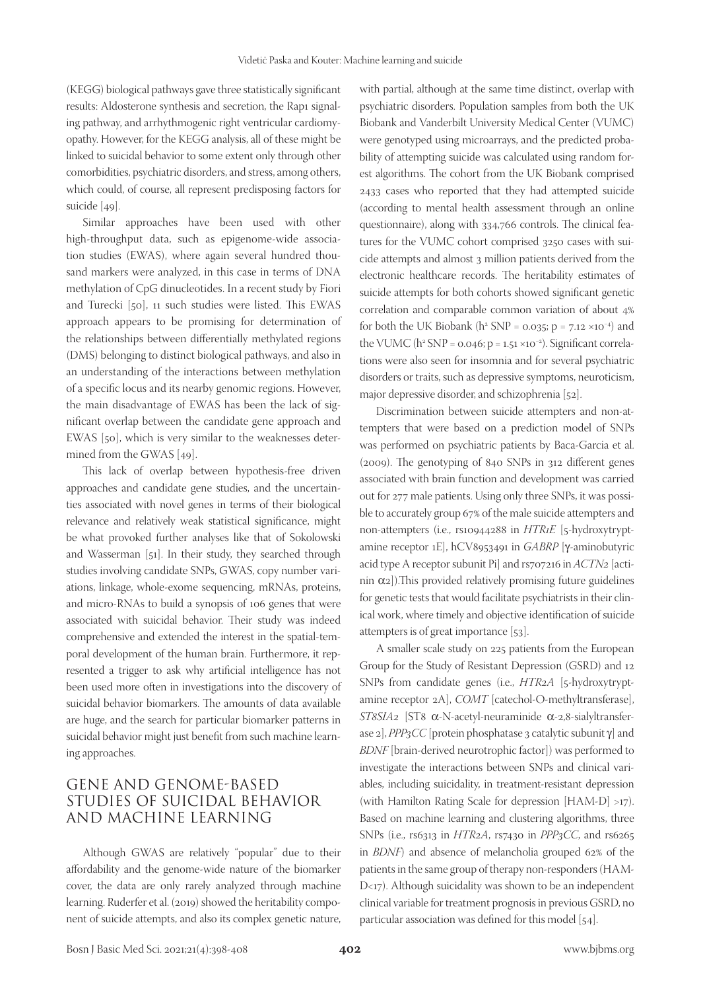(KEGG) biological pathways gave three statistically significant results: Aldosterone synthesis and secretion, the Rap1 signaling pathway, and arrhythmogenic right ventricular cardiomyopathy. However, for the KEGG analysis, all of these might be linked to suicidal behavior to some extent only through other comorbidities, psychiatric disorders, and stress, among others, which could, of course, all represent predisposing factors for suicide [49].

Similar approaches have been used with other high-throughput data, such as epigenome-wide association studies (EWAS), where again several hundred thousand markers were analyzed, in this case in terms of DNA methylation of CpG dinucleotides. In a recent study by Fiori and Turecki [50], 11 such studies were listed. This EWAS approach appears to be promising for determination of the relationships between differentially methylated regions (DMS) belonging to distinct biological pathways, and also in an understanding of the interactions between methylation of a specific locus and its nearby genomic regions. However, the main disadvantage of EWAS has been the lack of significant overlap between the candidate gene approach and EWAS [50], which is very similar to the weaknesses determined from the GWAS [49].

This lack of overlap between hypothesis-free driven approaches and candidate gene studies, and the uncertainties associated with novel genes in terms of their biological relevance and relatively weak statistical significance, might be what provoked further analyses like that of Sokolowski and Wasserman [51]. In their study, they searched through studies involving candidate SNPs, GWAS, copy number variations, linkage, whole-exome sequencing, mRNAs, proteins, and micro-RNAs to build a synopsis of 106 genes that were associated with suicidal behavior. Their study was indeed comprehensive and extended the interest in the spatial-temporal development of the human brain. Furthermore, it represented a trigger to ask why artificial intelligence has not been used more often in investigations into the discovery of suicidal behavior biomarkers. The amounts of data available are huge, and the search for particular biomarker patterns in suicidal behavior might just benefit from such machine learning approaches.

# GENE AND GENOME-BASED STUDIES OF SUICIDAL BEHAVIOR AND MACHINE LEARNING

Although GWAS are relatively "popular" due to their affordability and the genome-wide nature of the biomarker cover, the data are only rarely analyzed through machine learning. Ruderfer et al. (2019) showed the heritability component of suicide attempts, and also its complex genetic nature,

with partial, although at the same time distinct, overlap with psychiatric disorders. Population samples from both the UK Biobank and Vanderbilt University Medical Center (VUMC) were genotyped using microarrays, and the predicted probability of attempting suicide was calculated using random forest algorithms. The cohort from the UK Biobank comprised 2433 cases who reported that they had attempted suicide (according to mental health assessment through an online questionnaire), along with 334,766 controls. The clinical features for the VUMC cohort comprised 3250 cases with suicide attempts and almost 3 million patients derived from the electronic healthcare records. The heritability estimates of suicide attempts for both cohorts showed significant genetic correlation and comparable common variation of about 4% for both the UK Biobank (h<sup>2</sup> SNP = 0.035; p =  $7.12 \times 10^{-4}$ ) and the VUMC (h<sup>2</sup> SNP = 0.046; p = 1.51 ×10<sup>-2</sup>). Significant correlations were also seen for insomnia and for several psychiatric disorders or traits, such as depressive symptoms, neuroticism, major depressive disorder, and schizophrenia [52].

Discrimination between suicide attempters and non-attempters that were based on a prediction model of SNPs was performed on psychiatric patients by Baca-Garcia et al. (2009). The genotyping of 840 SNPs in 312 different genes associated with brain function and development was carried out for 277 male patients. Using only three SNPs, it was possible to accurately group 67% of the male suicide attempters and non-attempters (i.e., rs10944288 in *HTR1E* [5-hydroxytryptamine receptor 1E], hCV8953491 in *GABRP* [g-aminobutyric acid type A receptor subunit Pi] and rs707216 in *ACTN2* [actinin  $\alpha$ <sub>2</sub>]). This provided relatively promising future guidelines for genetic tests that would facilitate psychiatrists in their clinical work, where timely and objective identification of suicide attempters is of great importance [53].

A smaller scale study on 225 patients from the European Group for the Study of Resistant Depression (GSRD) and 12 SNPs from candidate genes (i.e., *HTR2A* [5-hydroxytryptamine receptor 2A], *COMT* [catechol-O-methyltransferase], *ST8SIA2* [ST8 α-N-acetyl-neuraminide α-2,8-sialyltransferase 2],  $PPP_3CC$  [protein phosphatase 3 catalytic subunit  $\gamma$ ] and *BDNF* [brain-derived neurotrophic factor]) was performed to investigate the interactions between SNPs and clinical variables, including suicidality, in treatment-resistant depression (with Hamilton Rating Scale for depression [HAM-D] >17). Based on machine learning and clustering algorithms, three SNPs (i.e., rs6313 in *HTR2A*, rs7430 in *PPP3CC*, and rs6265 in *BDNF*) and absence of melancholia grouped 62% of the patients in the same group of therapy non-responders (HAM-D<17). Although suicidality was shown to be an independent clinical variable for treatment prognosis in previous GSRD, no particular association was defined for this model [54].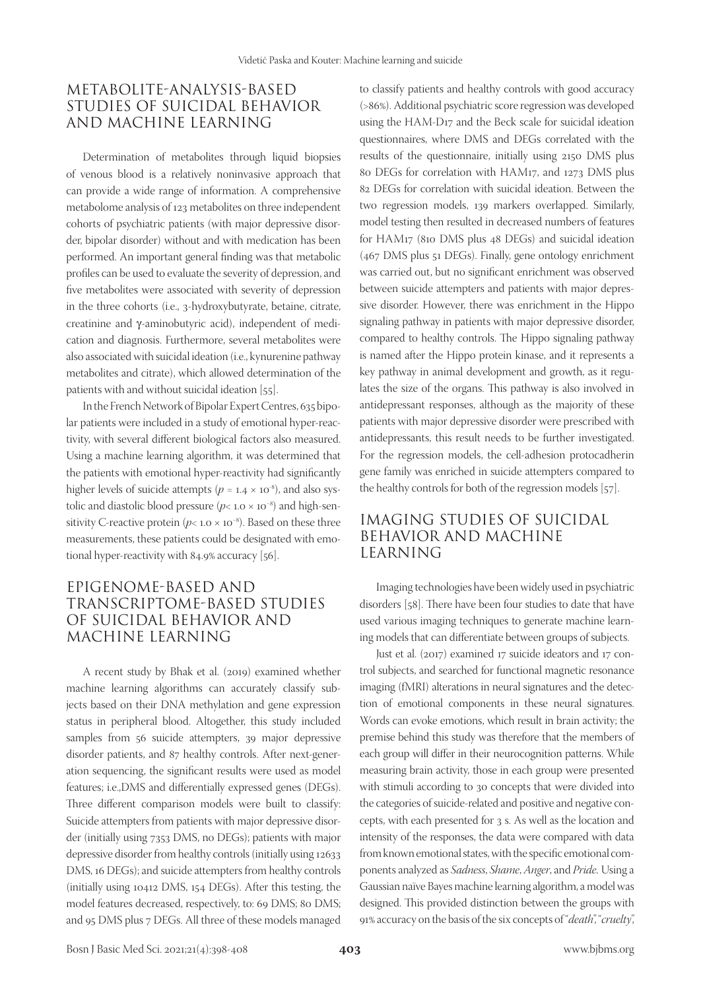## METABOLITE-ANALYSIS-BASED STUDIES OF SUICIDAL BEHAVIOR AND MACHINE LEARNING

Determination of metabolites through liquid biopsies of venous blood is a relatively noninvasive approach that can provide a wide range of information. A comprehensive metabolome analysis of 123 metabolites on three independent cohorts of psychiatric patients (with major depressive disorder, bipolar disorder) without and with medication has been performed. An important general finding was that metabolic profiles can be used to evaluate the severity of depression, and five metabolites were associated with severity of depression in the three cohorts (i.e., 3-hydroxybutyrate, betaine, citrate, creatinine and y-aminobutyric acid), independent of medication and diagnosis. Furthermore, several metabolites were also associated with suicidal ideation (i.e., kynurenine pathway metabolites and citrate), which allowed determination of the patients with and without suicidal ideation [55].

In the French Network of Bipolar Expert Centres, 635 bipolar patients were included in a study of emotional hyper-reactivity, with several different biological factors also measured. Using a machine learning algorithm, it was determined that the patients with emotional hyper-reactivity had significantly higher levels of suicide attempts ( $p = 1.4 \times 10^{-8}$ ), and also systolic and diastolic blood pressure (*p*< 1.0 × 10−8) and high-sensitivity C-reactive protein ( $p$ < 1.0 × 10<sup>-8</sup>). Based on these three measurements, these patients could be designated with emotional hyper-reactivity with 84.9% accuracy [56].

# EPIGENOME-BASED AND TRANSCRIPTOME-BASED STUDIES OF SUICIDAL BEHAVIOR AND MACHINE LEARNING

A recent study by Bhak et al. (2019) examined whether machine learning algorithms can accurately classify subjects based on their DNA methylation and gene expression status in peripheral blood. Altogether, this study included samples from 56 suicide attempters, 39 major depressive disorder patients, and 87 healthy controls. After next-generation sequencing, the significant results were used as model features; i.e.,DMS and differentially expressed genes (DEGs). Three different comparison models were built to classify: Suicide attempters from patients with major depressive disorder (initially using 7353 DMS, no DEGs); patients with major depressive disorder from healthy controls (initially using 12633 DMS, 16 DEGs); and suicide attempters from healthy controls (initially using 10412 DMS, 154 DEGs). After this testing, the model features decreased, respectively, to: 69 DMS; 80 DMS; and 95 DMS plus 7 DEGs. All three of these models managed

to classify patients and healthy controls with good accuracy (>86%). Additional psychiatric score regression was developed using the HAM-D17 and the Beck scale for suicidal ideation questionnaires, where DMS and DEGs correlated with the results of the questionnaire, initially using 2150 DMS plus 80 DEGs for correlation with HAM17, and 1273 DMS plus 82 DEGs for correlation with suicidal ideation. Between the two regression models, 139 markers overlapped. Similarly, model testing then resulted in decreased numbers of features for HAM17 (810 DMS plus 48 DEGs) and suicidal ideation (467 DMS plus 51 DEGs). Finally, gene ontology enrichment was carried out, but no significant enrichment was observed between suicide attempters and patients with major depressive disorder. However, there was enrichment in the Hippo signaling pathway in patients with major depressive disorder, compared to healthy controls. The Hippo signaling pathway is named after the Hippo protein kinase, and it represents a key pathway in animal development and growth, as it regulates the size of the organs. This pathway is also involved in antidepressant responses, although as the majority of these patients with major depressive disorder were prescribed with antidepressants, this result needs to be further investigated. For the regression models, the cell-adhesion protocadherin gene family was enriched in suicide attempters compared to the healthy controls for both of the regression models [57].

# IMAGING STUDIES OF SUICIDAL BEHAVIOR AND MACHINE LEARNING

Imaging technologies have been widely used in psychiatric disorders [58]. There have been four studies to date that have used various imaging techniques to generate machine learning models that can differentiate between groups of subjects.

Just et al. (2017) examined 17 suicide ideators and 17 control subjects, and searched for functional magnetic resonance imaging (fMRI) alterations in neural signatures and the detection of emotional components in these neural signatures. Words can evoke emotions, which result in brain activity; the premise behind this study was therefore that the members of each group will differ in their neurocognition patterns. While measuring brain activity, those in each group were presented with stimuli according to 30 concepts that were divided into the categories of suicide-related and positive and negative concepts, with each presented for 3 s. As well as the location and intensity of the responses, the data were compared with data from known emotional states, with the specific emotional components analyzed as *Sadness*, *Shame*, *Anger*, and *Pride.* Using a Gaussian naïve Bayes machine learning algorithm, a model was designed. This provided distinction between the groups with 91% accuracy on the basis of the six concepts of "*death*", "*cruelty*",

Bosn J Basic Med Sci. 2021;21(4):398-408 **403** www.bjbms.org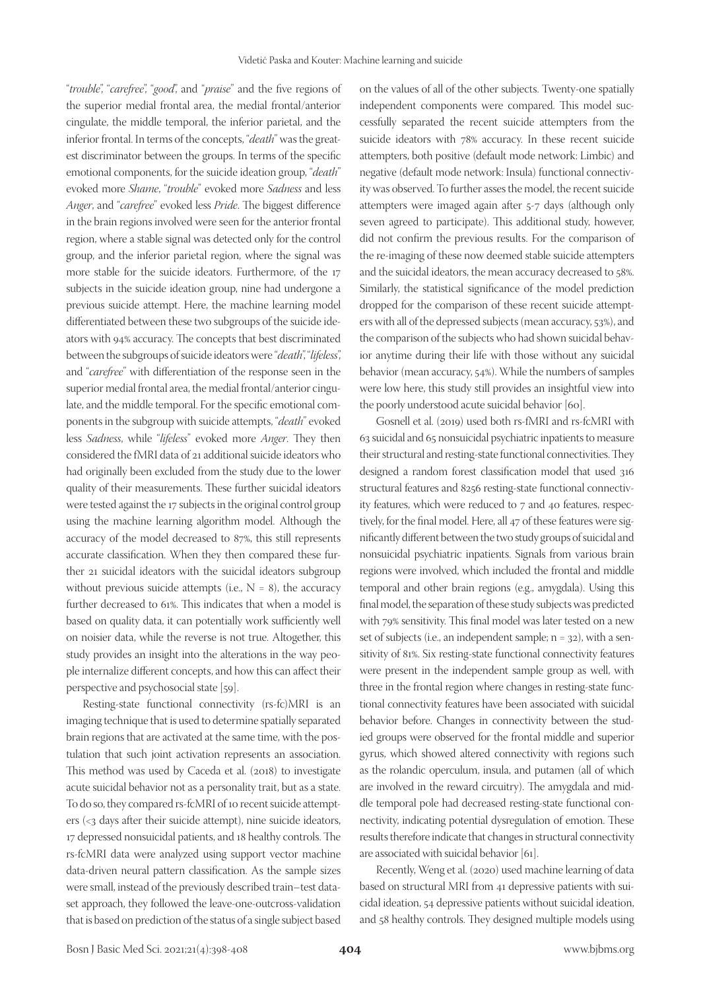"*trouble*", "*carefree*", "*good*", and "*praise*" and the five regions of the superior medial frontal area, the medial frontal/anterior cingulate, the middle temporal, the inferior parietal, and the inferior frontal. In terms of the concepts, "*death*" was the greatest discriminator between the groups. In terms of the specific emotional components, for the suicide ideation group, "*death*" evoked more *Shame*, "*trouble*" evoked more *Sadness* and less *Anger*, and "*carefree*" evoked less *Pride*. The biggest difference in the brain regions involved were seen for the anterior frontal region, where a stable signal was detected only for the control group, and the inferior parietal region, where the signal was more stable for the suicide ideators. Furthermore, of the 17 subjects in the suicide ideation group, nine had undergone a previous suicide attempt. Here, the machine learning model differentiated between these two subgroups of the suicide ideators with 94% accuracy. The concepts that best discriminated between the subgroups of suicide ideators were "*death*", "*lifeless*", and "*carefree*" with differentiation of the response seen in the superior medial frontal area, the medial frontal/anterior cingulate, and the middle temporal. For the specific emotional components in the subgroup with suicide attempts, "*death*" evoked less *Sadness*, while "*lifeless*" evoked more *Anger*. They then considered the fMRI data of 21 additional suicide ideators who had originally been excluded from the study due to the lower quality of their measurements. These further suicidal ideators were tested against the 17 subjects in the original control group using the machine learning algorithm model. Although the accuracy of the model decreased to 87%, this still represents accurate classification. When they then compared these further 21 suicidal ideators with the suicidal ideators subgroup without previous suicide attempts (i.e.,  $N = 8$ ), the accuracy further decreased to 61%. This indicates that when a model is based on quality data, it can potentially work sufficiently well on noisier data, while the reverse is not true. Altogether, this study provides an insight into the alterations in the way people internalize different concepts, and how this can affect their perspective and psychosocial state [59].

Resting-state functional connectivity (rs-fc)MRI is an imaging technique that is used to determine spatially separated brain regions that are activated at the same time, with the postulation that such joint activation represents an association. This method was used by Caceda et al. (2018) to investigate acute suicidal behavior not as a personality trait, but as a state. To do so, they compared rs-fcMRI of 10 recent suicide attempters (<3 days after their suicide attempt), nine suicide ideators, 17 depressed nonsuicidal patients, and 18 healthy controls. The rs-fcMRI data were analyzed using support vector machine data-driven neural pattern classification. As the sample sizes were small, instead of the previously described train–test dataset approach, they followed the leave-one-outcross-validation that is based on prediction of the status of a single subject based

on the values of all of the other subjects. Twenty-one spatially independent components were compared. This model successfully separated the recent suicide attempters from the suicide ideators with 78% accuracy. In these recent suicide attempters, both positive (default mode network: Limbic) and negative (default mode network: Insula) functional connectivity was observed. To further asses the model, the recent suicide attempters were imaged again after 5-7 days (although only seven agreed to participate). This additional study, however, did not confirm the previous results. For the comparison of the re-imaging of these now deemed stable suicide attempters and the suicidal ideators, the mean accuracy decreased to 58%. Similarly, the statistical significance of the model prediction dropped for the comparison of these recent suicide attempters with all of the depressed subjects (mean accuracy, 53%), and the comparison of the subjects who had shown suicidal behavior anytime during their life with those without any suicidal behavior (mean accuracy, 54%). While the numbers of samples were low here, this study still provides an insightful view into the poorly understood acute suicidal behavior [60].

Gosnell et al. (2019) used both rs-fMRI and rs-fcMRI with 63 suicidal and 65 nonsuicidal psychiatric inpatients to measure their structural and resting-state functional connectivities. They designed a random forest classification model that used 316 structural features and 8256 resting-state functional connectivity features, which were reduced to 7 and 40 features, respectively, for the final model. Here, all 47 of these features were significantly different between the two study groups of suicidal and nonsuicidal psychiatric inpatients. Signals from various brain regions were involved, which included the frontal and middle temporal and other brain regions (e.g., amygdala). Using this final model, the separation of these study subjects was predicted with 79% sensitivity. This final model was later tested on a new set of subjects (i.e., an independent sample;  $n = 32$ ), with a sensitivity of 81%. Six resting-state functional connectivity features were present in the independent sample group as well, with three in the frontal region where changes in resting-state functional connectivity features have been associated with suicidal behavior before. Changes in connectivity between the studied groups were observed for the frontal middle and superior gyrus, which showed altered connectivity with regions such as the rolandic operculum, insula, and putamen (all of which are involved in the reward circuitry). The amygdala and middle temporal pole had decreased resting-state functional connectivity, indicating potential dysregulation of emotion. These results therefore indicate that changes in structural connectivity are associated with suicidal behavior [61].

Recently, Weng et al. (2020) used machine learning of data based on structural MRI from 41 depressive patients with suicidal ideation, 54 depressive patients without suicidal ideation, and 58 healthy controls. They designed multiple models using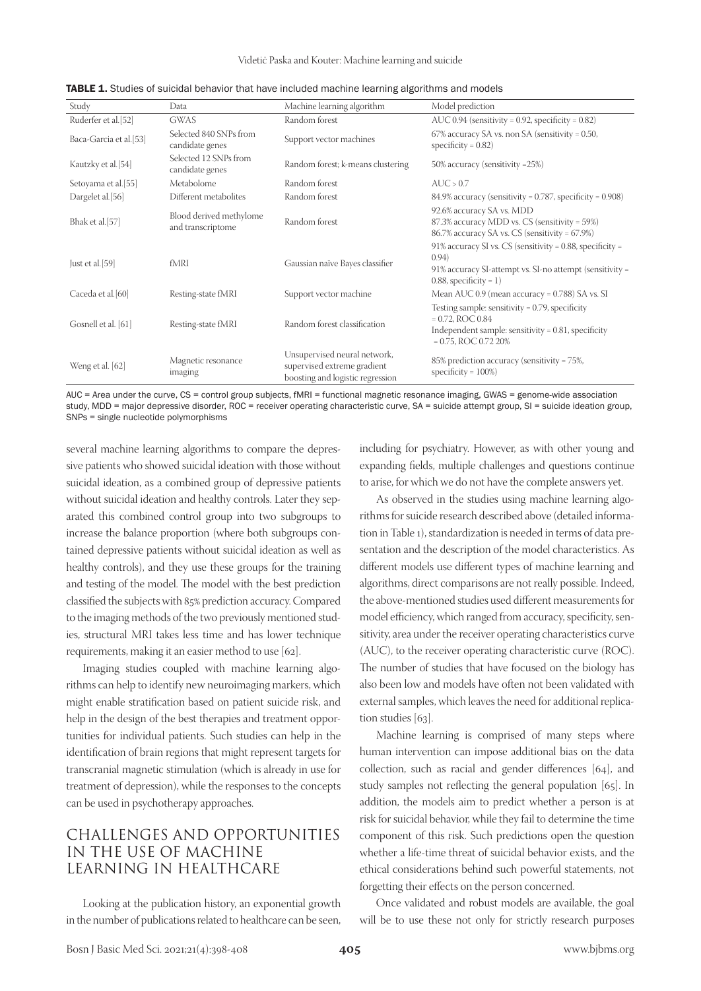Videtič Paska and Kouter: Machine learning and suicide

| Study                  | Data                                         | Machine learning algorithm                                                                      | Model prediction                                                                                                                                               |
|------------------------|----------------------------------------------|-------------------------------------------------------------------------------------------------|----------------------------------------------------------------------------------------------------------------------------------------------------------------|
| Ruderfer et al.[52]    | GWAS                                         | Random forest                                                                                   | AUC $0.94$ (sensitivity = 0.92, specificity = 0.82)                                                                                                            |
| Baca-Garcia et al.[53] | Selected 840 SNPs from<br>candidate genes    | Support vector machines                                                                         | $67\%$ accuracy SA vs. non SA (sensitivity = 0.50,<br>specificity = $0.82$ )                                                                                   |
| Kautzky et al.[54]     | Selected 12 SNPs from<br>candidate genes     | Random forest; k-means clustering                                                               | 50% accuracy (sensitivity = 25%)                                                                                                                               |
| Setoyama et al.[55]    | Metabolome                                   | Random forest                                                                                   | AUC > 0.7                                                                                                                                                      |
| Dargelet al.[56]       | Different metabolites                        | Random forest                                                                                   | $84.9\%$ accuracy (sensitivity = 0.787, specificity = 0.908)                                                                                                   |
| Bhak et al.[57]        | Blood derived methylome<br>and transcriptome | Random forest                                                                                   | 92.6% accuracy SA vs. MDD<br>87.3% accuracy MDD vs. CS (sensitivity = 59%)<br>86.7% accuracy SA vs. CS (sensitivity = 67.9%)                                   |
| Just et al.[59]        | fMRI                                         | Gaussian naïve Bayes classifier                                                                 | 91% accuracy SI vs. CS (sensitivity = 0.88, specificity =<br>(0.94)<br>91% accuracy SI-attempt vs. SI-no attempt (sensitivity =<br>$0.88$ , specificity = 1)   |
| Caceda et al. [60]     | Resting-state fMRI                           | Support vector machine                                                                          | Mean AUC $0.9$ (mean accuracy = $0.788$ ) SA vs. SI                                                                                                            |
| Gosnell et al. [61]    | Resting-state fMRI                           | Random forest classification                                                                    | Testing sample: sensitivity = $0.79$ , specificity<br>$= 0.72$ , ROC 0.84<br>Independent sample: sensitivity = $0.81$ , specificity<br>$= 0.75$ , ROC 0.72 20% |
| Weng et al. [62]       | Magnetic resonance<br>imaging                | Unsupervised neural network,<br>supervised extreme gradient<br>boosting and logistic regression | 85% prediction accuracy (sensitivity = 75%,<br>specificity = $100\%$ )                                                                                         |

| TABLE 1. Studies of suicidal behavior that have included machine learning algorithms and models |  |
|-------------------------------------------------------------------------------------------------|--|
|-------------------------------------------------------------------------------------------------|--|

AUC = Area under the curve, CS = control group subjects, fMRI = functional magnetic resonance imaging, GWAS = genome-wide association study, MDD = major depressive disorder, ROC = receiver operating characteristic curve, SA = suicide attempt group, SI = suicide ideation group, SNPs = single nucleotide polymorphisms

several machine learning algorithms to compare the depressive patients who showed suicidal ideation with those without suicidal ideation, as a combined group of depressive patients without suicidal ideation and healthy controls. Later they separated this combined control group into two subgroups to increase the balance proportion (where both subgroups contained depressive patients without suicidal ideation as well as healthy controls), and they use these groups for the training and testing of the model. The model with the best prediction classified the subjects with 85% prediction accuracy. Compared to the imaging methods of the two previously mentioned studies, structural MRI takes less time and has lower technique requirements, making it an easier method to use [62].

Imaging studies coupled with machine learning algorithms can help to identify new neuroimaging markers, which might enable stratification based on patient suicide risk, and help in the design of the best therapies and treatment opportunities for individual patients. Such studies can help in the identification of brain regions that might represent targets for transcranial magnetic stimulation (which is already in use for treatment of depression), while the responses to the concepts can be used in psychotherapy approaches.

# CHALLENGES AND OPPORTUNITIES IN THE USE OF MACHINE LEARNING IN HEALTHCARE

Looking at the publication history, an exponential growth in the number of publications related to healthcare can be seen,

including for psychiatry. However, as with other young and expanding fields, multiple challenges and questions continue to arise, for which we do not have the complete answers yet.

As observed in the studies using machine learning algorithms for suicide research described above (detailed information in Table 1), standardization is needed in terms of data presentation and the description of the model characteristics. As different models use different types of machine learning and algorithms, direct comparisons are not really possible. Indeed, the above-mentioned studies used different measurements for model efficiency, which ranged from accuracy, specificity, sensitivity, area under the receiver operating characteristics curve (AUC), to the receiver operating characteristic curve (ROC). The number of studies that have focused on the biology has also been low and models have often not been validated with external samples, which leaves the need for additional replication studies [63].

Machine learning is comprised of many steps where human intervention can impose additional bias on the data collection, such as racial and gender differences [64], and study samples not reflecting the general population [65]. In addition, the models aim to predict whether a person is at risk for suicidal behavior, while they fail to determine the time component of this risk. Such predictions open the question whether a life-time threat of suicidal behavior exists, and the ethical considerations behind such powerful statements, not forgetting their effects on the person concerned.

Once validated and robust models are available, the goal will be to use these not only for strictly research purposes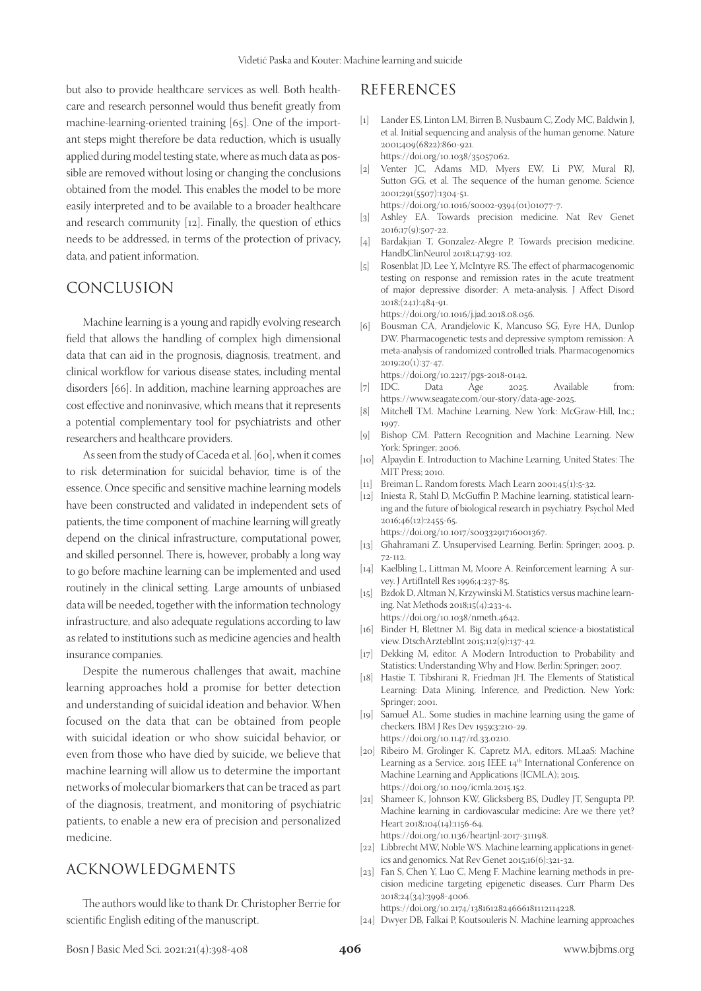but also to provide healthcare services as well. Both healthcare and research personnel would thus benefit greatly from machine-learning-oriented training [65]. One of the important steps might therefore be data reduction, which is usually applied during model testing state, where as much data as possible are removed without losing or changing the conclusions obtained from the model. This enables the model to be more easily interpreted and to be available to a broader healthcare and research community [12]. Finally, the question of ethics needs to be addressed, in terms of the protection of privacy, data, and patient information.

## CONCLUSION

Machine learning is a young and rapidly evolving research field that allows the handling of complex high dimensional data that can aid in the prognosis, diagnosis, treatment, and clinical workflow for various disease states, including mental disorders [66]. In addition, machine learning approaches are cost effective and noninvasive, which means that it represents a potential complementary tool for psychiatrists and other researchers and healthcare providers.

As seen from the study of Caceda et al. [60], when it comes to risk determination for suicidal behavior, time is of the essence. Once specific and sensitive machine learning models have been constructed and validated in independent sets of patients, the time component of machine learning will greatly depend on the clinical infrastructure, computational power, and skilled personnel. There is, however, probably a long way to go before machine learning can be implemented and used routinely in the clinical setting. Large amounts of unbiased data will be needed, together with the information technology infrastructure, and also adequate regulations according to law as related to institutions such as medicine agencies and health insurance companies.

Despite the numerous challenges that await, machine learning approaches hold a promise for better detection and understanding of suicidal ideation and behavior. When focused on the data that can be obtained from people with suicidal ideation or who show suicidal behavior, or even from those who have died by suicide, we believe that machine learning will allow us to determine the important networks of molecular biomarkers that can be traced as part of the diagnosis, treatment, and monitoring of psychiatric patients, to enable a new era of precision and personalized medicine.

## ACKNOWLEDGMENTS

The authors would like to thank Dr. Christopher Berrie for scientific English editing of the manuscript.

## REFERENCES

- [1] Lander ES, Linton LM, Birren B, Nusbaum C, Zody MC, Baldwin J, et al. Initial sequencing and analysis of the human genome. Nature 2001;409(6822):860-921. https://doi.org/10.1038/35057062.
- [2] Venter JC, Adams MD, Myers EW, Li PW, Mural RJ, Sutton GG, et al. The sequence of the human genome. Science 2001;291(5507):1304-51.
- https://doi.org/10.1016/s0002-9394(01)01077-7.
- [3] Ashley EA. Towards precision medicine. Nat Rev Genet  $2016:17(9):507-22.$
- [4] Bardakjian T, Gonzalez-Alegre P. Towards precision medicine. HandbClinNeurol 2018;147:93-102.
- [5] Rosenblat JD, Lee Y, McIntyre RS. The effect of pharmacogenomic testing on response and remission rates in the acute treatment of major depressive disorder: A meta-analysis. J Affect Disord 2018;(241):484-91.

https://doi.org/10.1016/j.jad.2018.08.056.

[6] Bousman CA, Arandjelovic K, Mancuso SG, Eyre HA, Dunlop DW. Pharmacogenetic tests and depressive symptom remission: A meta-analysis of randomized controlled trials. Pharmacogenomics 2019;20(1):37-47.

https://doi.org/10.2217/pgs-2018-0142.<br>IDC. Data Age 2025

- [7] IDC. Data Age 2025. Available from: https://www.seagate.com/our-story/data-age-2025.
- [8] Mitchell TM. Machine Learning. New York: McGraw-Hill, Inc.; 1997.
- [9] Bishop CM. Pattern Recognition and Machine Learning. New York: Springer; 2006.
- [10] Alpaydin E. Introduction to Machine Learning. United States: The MIT Press; 2010.
- [11] Breiman L. Random forests*.* Mach Learn 2001;45(1):5-32.
- [12] Iniesta R, Stahl D, McGuffin P. Machine learning, statistical learning and the future of biological research in psychiatry. Psychol Med 2016;46(12):2455-65. https://doi.org/10.1017/s0033291716001367.
- [13] Ghahramani Z. Unsupervised Learning. Berlin: Springer; 2003. p. 72-112.
- [14] Kaelbling L, Littman M, Moore A. Reinforcement learning: A survey. J ArtifIntell Res 1996;4:237-85.
- [15] Bzdok D, Altman N, Krzywinski M. Statistics versus machine learning. Nat Methods 2018;15(4):233-4. https://doi.org/10.1038/nmeth.4642.
- [16] Binder H, Blettner M. Big data in medical science-a biostatistical view. DtschArzteblInt 2015;112(9):137-42.
- [17] Dekking M, editor. A Modern Introduction to Probability and Statistics: Understanding Why and How. Berlin: Springer; 2007.
- [18] Hastie T, Tibshirani R, Friedman JH. The Elements of Statistical Learning: Data Mining, Inference, and Prediction. New York: Springer; 2001.
- [19] Samuel AL. Some studies in machine learning using the game of checkers. IBM J Res Dev 1959;3:210-29. https://doi.org/10.1147/rd.33.0210.
- [20] Ribeiro M, Grolinger K, Capretz MA, editors. MLaaS: Machine Learning as a Service. 2015 IEEE 14<sup>th</sup> International Conference on Machine Learning and Applications (ICMLA); 2015. https://doi.org/10.1109/icmla.2015.152.
- [21] Shameer K, Johnson KW, Glicksberg BS, Dudley JT, Sengupta PP. Machine learning in cardiovascular medicine: Are we there yet? Heart 2018;104(14):1156-64. https://doi.org/10.1136/heartjnl-2017-311198.
- [22] Libbrecht MW, Noble WS. Machine learning applications in genetics and genomics. Nat Rev Genet 2015;16(6):321-32.
- [23] Fan S, Chen Y, Luo C, Meng F. Machine learning methods in precision medicine targeting epigenetic diseases. Curr Pharm Des 2018;24(34):3998-4006. https://doi.org/10.2174/1381612824666181112114228.
- [24] Dwyer DB, Falkai P, Koutsouleris N. Machine learning approaches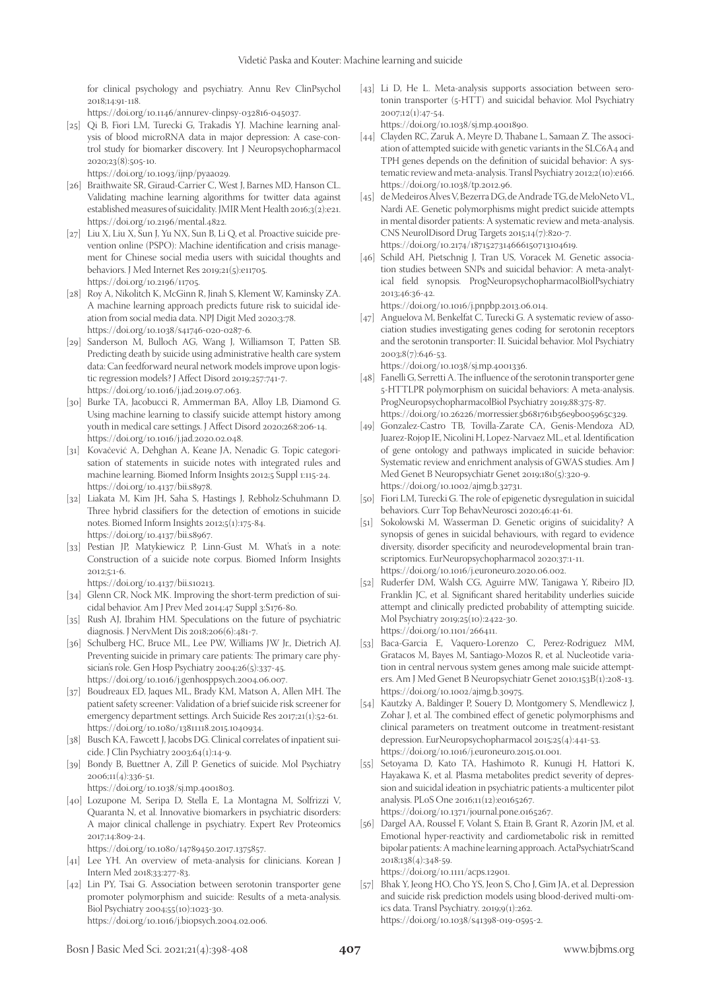for clinical psychology and psychiatry. Annu Rev ClinPsychol 2018;14:91-118.

https://doi.org/10.1146/annurev-clinpsy-032816-045037.

[25] Qi B, Fiori LM, Turecki G, Trakadis YJ. Machine learning analysis of blood microRNA data in major depression: A case-control study for biomarker discovery. Int J Neuropsychopharmacol 2020;23(8):505-10.

https://doi.org/10.1093/ijnp/pyaa029.

- [26] Braithwaite SR, Giraud-Carrier C, West J, Barnes MD, Hanson CL. Validating machine learning algorithms for twitter data against established measures of suicidality. JMIR Ment Health 2016;3(2):e21. https://doi.org/10.2196/mental.4822.
- [27] Liu X, Liu X, Sun J, Yu NX, Sun B, Li Q, et al. Proactive suicide prevention online (PSPO): Machine identification and crisis management for Chinese social media users with suicidal thoughts and behaviors. J Med Internet Res 2019;21(5):e11705. https://doi.org/10.2196/11705.
- [28] Roy A, Nikolitch K, McGinn R, Jinah S, Klement W, Kaminsky ZA. A machine learning approach predicts future risk to suicidal ideation from social media data. NPJ Digit Med 2020;3:78. https://doi.org/10.1038/s41746-020-0287-6.
- [29] Sanderson M, Bulloch AG, Wang J, Williamson T, Patten SB. Predicting death by suicide using administrative health care system data: Can feedforward neural network models improve upon logistic regression models? J Affect Disord 2019;257:741-7. https://doi.org/10.1016/j.jad.2019.07.063.
- [30] Burke TA, Jacobucci R, Ammerman BA, Alloy LB, Diamond G. Using machine learning to classify suicide attempt history among youth in medical care settings. J Affect Disord 2020;268:206-14. https://doi.org/10.1016/j.jad.2020.02.048.
- [31] Kovačević A, Dehghan A, Keane JA, Nenadic G. Topic categorisation of statements in suicide notes with integrated rules and machine learning. Biomed Inform Insights 2012;5 Suppl 1:115-24. https://doi.org/10.4137/bii.s8978.
- [32] Liakata M, Kim JH, Saha S, Hastings J, Rebholz-Schuhmann D. Three hybrid classifiers for the detection of emotions in suicide notes. Biomed Inform Insights 2012;5(1):175-84. https://doi.org/10.4137/bii.s8967.
- [33] Pestian JP, Matykiewicz P, Linn-Gust M. What's in a note: Construction of a suicide note corpus. Biomed Inform Insights 2012;5:1-6.

https://doi.org/10.4137/bii.s10213.

- [34] Glenn CR, Nock MK. Improving the short-term prediction of suicidal behavior. Am J Prev Med 2014;47 Suppl 3:S176-80.
- [35] Rush AJ, Ibrahim HM. Speculations on the future of psychiatric diagnosis. J NervMent Dis 2018;206(6):481-7.
- [36] Schulberg HC, Bruce ML, Lee PW, Williams JW Jr., Dietrich AJ. Preventing suicide in primary care patients: The primary care physician's role. Gen Hosp Psychiatry 2004;26(5):337-45. https://doi.org/10.1016/j.genhosppsych.2004.06.007.
- [37] Boudreaux ED, Jaques ML, Brady KM, Matson A, Allen MH. The patient safety screener: Validation of a brief suicide risk screener for emergency department settings. Arch Suicide Res 2017;21(1):52-61. https://doi.org/10.1080/13811118.2015.1040934.
- [38] Busch KA, Fawcett J, Jacobs DG. Clinical correlates of inpatient suicide. J Clin Psychiatry 2003;64(1):14-9.
- [39] Bondy B, Buettner A, Zill P. Genetics of suicide. Mol Psychiatry 2006;11(4):336-51.
	- https://doi.org/10.1038/sj.mp.4001803.
- [40] Lozupone M, Seripa D, Stella E, La Montagna M, Solfrizzi V, Quaranta N, et al. Innovative biomarkers in psychiatric disorders: A major clinical challenge in psychiatry. Expert Rev Proteomics 2017;14:809-24.

https://doi.org/10.1080/14789450.2017.1375857.

- [41] Lee YH. An overview of meta-analysis for clinicians. Korean J Intern Med 2018;33:277-83.
- [42] Lin PY, Tsai G. Association between serotonin transporter gene promoter polymorphism and suicide: Results of a meta-analysis. Biol Psychiatry 2004;55(10):1023-30. https://doi.org/10.1016/j.biopsych.2004.02.006.
- [43] Li D, He L. Meta-analysis supports association between serotonin transporter (5-HTT) and suicidal behavior. Mol Psychiatry 2007;12(1):47-54. https://doi.org/10.1038/sj.mp.4001890.
- [44] Clayden RC, Zaruk A, Meyre D, Thabane L, Samaan Z. The association of attempted suicide with genetic variants in the SLC6A4 and TPH genes depends on the definition of suicidal behavior: A systematic review and meta-analysis. Transl Psychiatry 2012;2(10):e166. https://doi.org/10.1038/tp.2012.96.
- [45] de Medeiros Alves V, Bezerra DG, de Andrade TG, de MeloNeto VL, Nardi AE. Genetic polymorphisms might predict suicide attempts in mental disorder patients: A systematic review and meta-analysis. CNS NeurolDisord Drug Targets 2015;14(7):820-7. https://doi.org/10.2174/1871527314666150713104619.
- [46] Schild AH, Pietschnig J, Tran US, Voracek M. Genetic association studies between SNPs and suicidal behavior: A meta-analytical field synopsis. ProgNeuropsychopharmacolBiolPsychiatry 2013;46:36-42.

https://doi.org/10.1016/j.pnpbp.2013.06.014.

[47] Anguelova M, Benkelfat C, Turecki G. A systematic review of association studies investigating genes coding for serotonin receptors and the serotonin transporter: II. Suicidal behavior. Mol Psychiatry 2003;8(7):646-53.

https://doi.org/10.1038/sj.mp.4001336.

- [48] Fanelli G, Serretti A. The influence of the serotonin transporter gene 5-HTTLPR polymorphism on suicidal behaviors: A meta-analysis. ProgNeuropsychopharmacolBiol Psychiatry 2019;88:375-87. https://doi.org/10.26226/morressier.5b681761b56e9b005965c329.
- [49] Gonzalez-Castro TB, Tovilla-Zarate CA, Genis-Mendoza AD, Juarez-Rojop IE, Nicolini H, Lopez-Narvaez ML, et al. Identification of gene ontology and pathways implicated in suicide behavior: Systematic review and enrichment analysis of GWAS studies. Am J Med Genet B Neuropsychiatr Genet 2019;180(5):320-9. https://doi.org/10.1002/ajmg.b.32731.
- [50] Fiori LM, Turecki G. The role of epigenetic dysregulation in suicidal behaviors. Curr Top BehavNeurosci 2020;46:41-61.
- [51] Sokolowski M, Wasserman D. Genetic origins of suicidality? A synopsis of genes in suicidal behaviours, with regard to evidence diversity, disorder specificity and neurodevelopmental brain transcriptomics. EurNeuropsychopharmacol 2020;37:1-11. https://doi.org/10.1016/j.euroneuro.2020.06.002.
- [52] Ruderfer DM, Walsh CG, Aguirre MW, Tanigawa Y, Ribeiro JD, Franklin JC, et al. Significant shared heritability underlies suicide attempt and clinically predicted probability of attempting suicide. Mol Psychiatry 2019;25(10):2422-30. https://doi.org/10.1101/266411.
- [53] Baca-Garcia E, Vaquero-Lorenzo C, Perez-Rodriguez MM, Gratacos M, Bayes M, Santiago-Mozos R, et al. Nucleotide variation in central nervous system genes among male suicide attempters. Am J Med Genet B Neuropsychiatr Genet 2010;153B(1):208-13. https://doi.org/10.1002/ajmg.b.30975.
- [54] Kautzky A, Baldinger P, Souery D, Montgomery S, Mendlewicz J, Zohar J, et al. The combined effect of genetic polymorphisms and clinical parameters on treatment outcome in treatment-resistant depression. EurNeuropsychopharmacol 2015;25(4):441-53. https://doi.org/10.1016/j.euroneuro.2015.01.001.
- [55] Setoyama D, Kato TA, Hashimoto R, Kunugi H, Hattori K, Hayakawa K, et al. Plasma metabolites predict severity of depression and suicidal ideation in psychiatric patients-a multicenter pilot analysis. PLoS One 2016;11(12):e0165267. https://doi.org/10.1371/journal.pone.0165267.
- [56] Dargel AA, Roussel F, Volant S, Etain B, Grant R, Azorin JM, et al. Emotional hyper-reactivity and cardiometabolic risk in remitted bipolar patients: A machine learning approach. ActaPsychiatrScand 2018;138(4):348-59.

https://doi.org/10.1111/acps.12901.

[57] Bhak Y, Jeong HO, Cho YS, Jeon S, Cho J, Gim JA, et al. Depression and suicide risk prediction models using blood-derived multi-omics data. Transl Psychiatry. 2019;9(1):262. https://doi.org/10.1038/s41398-019-0595-2.